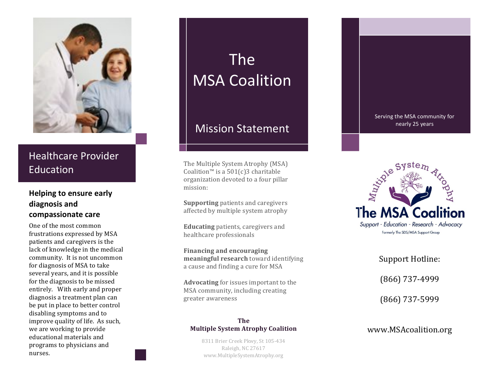

# Healthcare Provider Education

# **Helping to ensure early** diagnosis and compassionate care

One of the most common frustrations expressed by MSA patients and caregivers is the lack of knowledge in the medical community. It is not uncommon for diagnosis of MSA to take several years, and it is possible for the diagnosis to be missed entirely. With early and proper diagnosis a treatment plan can be put in place to better control disabling symptoms and to improve quality of life. As such, we are working to provide educational materials and programs to physicians and nurses.

# **MSA Coalition**<br> **Mission Statement**<br> **Example System Atrophy (MSA)**<br> **Example:** Bystem Atrophy (MSA)<br>
alatition<sup>76</sup> is a 501(c)3 charitable<br>
ganization devoted to a four pillar<br> **station** is a state of a four pillar<br> **Exa MSA Coalition**

# **Mission Statement**

The Multiple System Atrophy (MSA) Coalition™ is a  $501(c)3$  charitable organization devoted to a four pillar mission:

**Supporting** patients and caregivers affected by multiple system atrophy

**Educating** patients, caregivers and healthcare professionals

**Financing and encouraging meaningful research** toward identifying a cause and finding a cure for MSA

Advocating for issues important to the MSA community, including creating greater awareness

# **The\$**

8311 Brier Creek Pkwy, St 105-434 Raleigh, NC 27617 www.MultipleSystemAtrophy.org



Serving the MSA community for nearly 25 years

Support Hotline:

(866) 737-4999

(866) 737-5999

# www.MSAcoalition.org